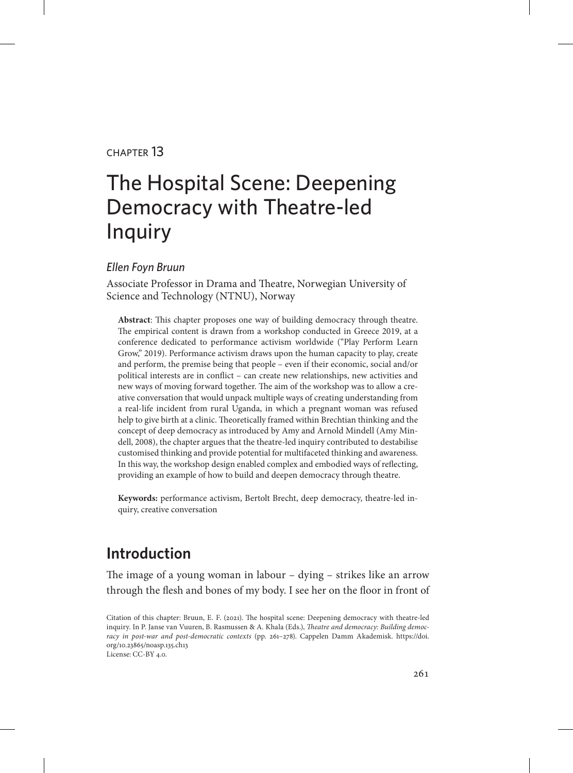#### chapter 13

# The Hospital Scene: Deepening Democracy with Theatre-led Inquiry

#### *Ellen Foyn Bruun*

Associate Professor in Drama and Theatre, Norwegian University of Science and Technology (NTNU), Norway

**Abstract**: This chapter proposes one way of building democracy through theatre. The empirical content is drawn from a workshop conducted in Greece 2019, at a conference dedicated to performance activism worldwide ("Play Perform Learn Grow," 2019). Performance activism draws upon the human capacity to play, create and perform, the premise being that people – even if their economic, social and/or political interests are in conflict – can create new relationships, new activities and new ways of moving forward together. The aim of the workshop was to allow a creative conversation that would unpack multiple ways of creating understanding from a real-life incident from rural Uganda, in which a pregnant woman was refused help to give birth at a clinic. Theoretically framed within Brechtian thinking and the concept of deep democracy as introduced by Amy and Arnold Mindell (Amy Mindell, 2008), the chapter argues that the theatre-led inquiry contributed to destabilise customised thinking and provide potential for multifaceted thinking and awareness. In this way, the workshop design enabled complex and embodied ways of reflecting, providing an example of how to build and deepen democracy through theatre.

**Keywords:** performance activism, Bertolt Brecht, deep democracy, theatre-led inquiry, creative conversation

# **Introduction**

The image of a young woman in labour – dying – strikes like an arrow through the flesh and bones of my body. I see her on the floor in front of

Citation of this chapter: Bruun, E. F. (2021). The hospital scene: Deepening democracy with theatre-led inquiry. In P. Janse van Vuuren, B. Rasmussen & A. Khala (Eds.), *Theatre and democracy: Building democracy in post-war and post-democratic contexts* (pp. 261–278). Cappelen Damm Akademisk. [https://doi.](https://doi.org/10.23865/noasp.135.ch13) [org/10.23865/noasp.135.ch13](https://doi.org/10.23865/noasp.135.ch13) License: CC-BY 4.0.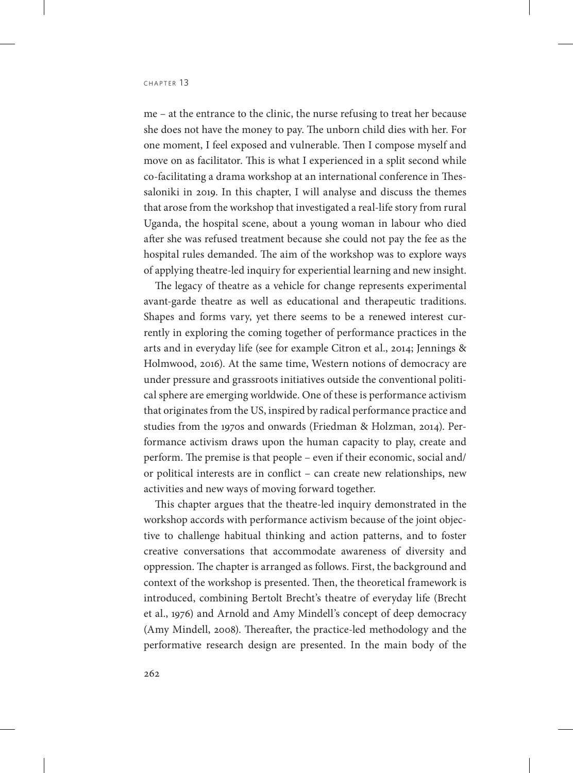me – at the entrance to the clinic, the nurse refusing to treat her because she does not have the money to pay. The unborn child dies with her. For one moment, I feel exposed and vulnerable. Then I compose myself and move on as facilitator. This is what I experienced in a split second while co-facilitating a drama workshop at an international conference in Thessaloniki in 2019. In this chapter, I will analyse and discuss the themes that arose from the workshop that investigated a real-life story from rural Uganda, the hospital scene, about a young woman in labour who died after she was refused treatment because she could not pay the fee as the hospital rules demanded. The aim of the workshop was to explore ways of applying theatre-led inquiry for experiential learning and new insight.

The legacy of theatre as a vehicle for change represents experimental avant-garde theatre as well as educational and therapeutic traditions. Shapes and forms vary, yet there seems to be a renewed interest currently in exploring the coming together of performance practices in the arts and in everyday life (see for example Citron et al., 2014; Jennings & Holmwood, 2016). At the same time, Western notions of democracy are under pressure and grassroots initiatives outside the conventional political sphere are emerging worldwide. One of these is performance activism that originates from the US, inspired by radical performance practice and studies from the 1970s and onwards (Friedman & Holzman, 2014). Performance activism draws upon the human capacity to play, create and perform. The premise is that people – even if their economic, social and/ or political interests are in conflict – can create new relationships, new activities and new ways of moving forward together.

This chapter argues that the theatre-led inquiry demonstrated in the workshop accords with performance activism because of the joint objective to challenge habitual thinking and action patterns, and to foster creative conversations that accommodate awareness of diversity and oppression. The chapter is arranged as follows. First, the background and context of the workshop is presented. Then, the theoretical framework is introduced, combining Bertolt Brecht's theatre of everyday life (Brecht et al., 1976) and Arnold and Amy Mindell's concept of deep democracy (Amy Mindell, 2008). Thereafter, the practice-led methodology and the performative research design are presented. In the main body of the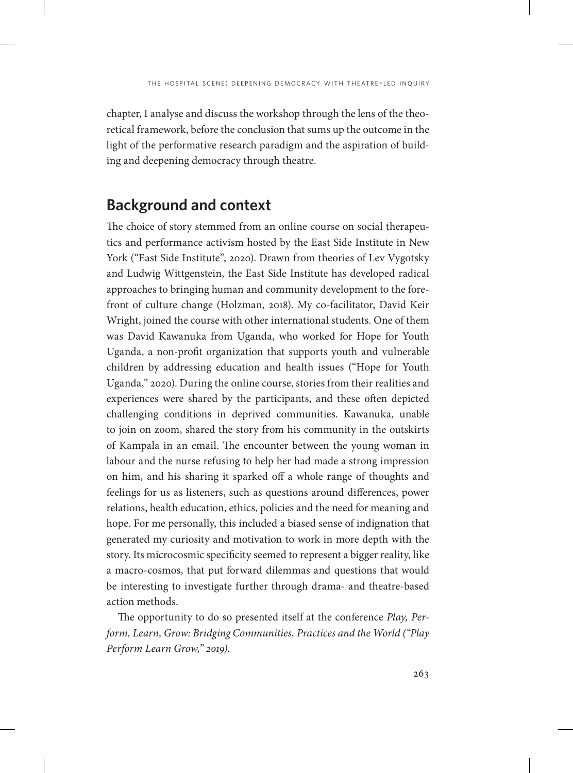chapter, I analyse and discuss the workshop through the lens of the theoretical framework, before the conclusion that sums up the outcome in the light of the performative research paradigm and the aspiration of building and deepening democracy through theatre.

# **Background and context**

The choice of story stemmed from an online course on social therapeutics and performance activism hosted by the East Side Institute in New York ("East Side Institute", 2020). Drawn from theories of Lev Vygotsky and Ludwig Wittgenstein, the East Side Institute has developed radical approaches to bringing human and community development to the forefront of culture change (Holzman, 2018). My co-facilitator, David Keir Wright, joined the course with other international students. One of them was David Kawanuka from Uganda, who worked for Hope for Youth Uganda, a non-profit organization that supports youth and vulnerable children by addressing education and health issues ("Hope for Youth Uganda," 2020). During the online course, stories from their realities and experiences were shared by the participants, and these often depicted challenging conditions in deprived communities. Kawanuka, unable to join on zoom, shared the story from his community in the outskirts of Kampala in an email. The encounter between the young woman in labour and the nurse refusing to help her had made a strong impression on him, and his sharing it sparked off a whole range of thoughts and feelings for us as listeners, such as questions around differences, power relations, health education, ethics, policies and the need for meaning and hope. For me personally, this included a biased sense of indignation that generated my curiosity and motivation to work in more depth with the story. Its microcosmic specificity seemed to represent a bigger reality, like a macro-cosmos, that put forward dilemmas and questions that would be interesting to investigate further through drama- and theatre-based action methods.

The opportunity to do so presented itself at the conference *Play, Perform, Learn, Grow: Bridging Communities, Practices and the World ("Play Perform Learn Grow," 2019)*.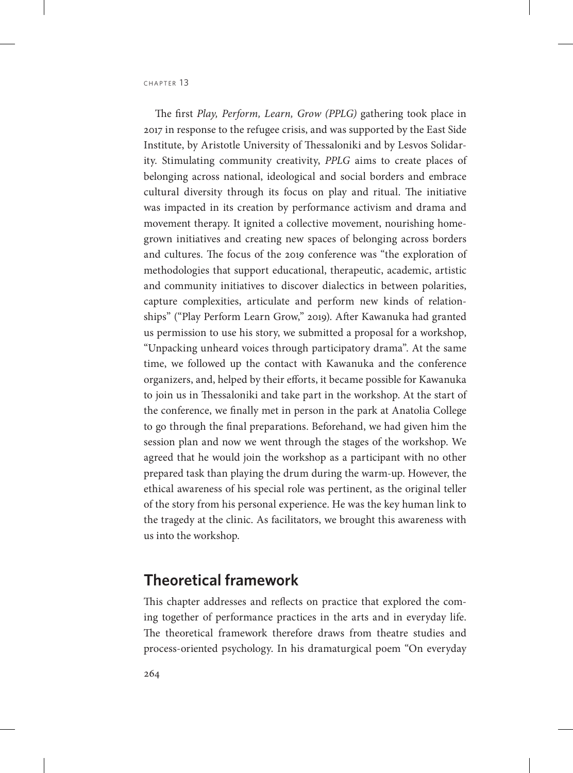The first *Play, Perform, Learn, Grow (PPLG)* gathering took place in 2017 in response to the refugee crisis, and was supported by the East Side Institute, by Aristotle University of Thessaloniki and by Lesvos Solidarity. Stimulating community creativity, *PPLG* aims to create places of belonging across national, ideological and social borders and embrace cultural diversity through its focus on play and ritual. The initiative was impacted in its creation by performance activism and drama and movement therapy. It ignited a collective movement, nourishing homegrown initiatives and creating new spaces of belonging across borders and cultures. The focus of the 2019 conference was "the exploration of methodologies that support educational, therapeutic, academic, artistic and community initiatives to discover dialectics in between polarities, capture complexities, articulate and perform new kinds of relationships" ("Play Perform Learn Grow," 2019). After Kawanuka had granted us permission to use his story, we submitted a proposal for a workshop, "Unpacking unheard voices through participatory drama". At the same time, we followed up the contact with Kawanuka and the conference organizers, and, helped by their efforts, it became possible for Kawanuka to join us in Thessaloniki and take part in the workshop. At the start of the conference, we finally met in person in the park at Anatolia College to go through the final preparations. Beforehand, we had given him the session plan and now we went through the stages of the workshop. We agreed that he would join the workshop as a participant with no other prepared task than playing the drum during the warm-up. However, the ethical awareness of his special role was pertinent, as the original teller of the story from his personal experience. He was the key human link to the tragedy at the clinic. As facilitators, we brought this awareness with us into the workshop.

# **Theoretical framework**

This chapter addresses and reflects on practice that explored the coming together of performance practices in the arts and in everyday life. The theoretical framework therefore draws from theatre studies and process-oriented psychology. In his dramaturgical poem "On everyday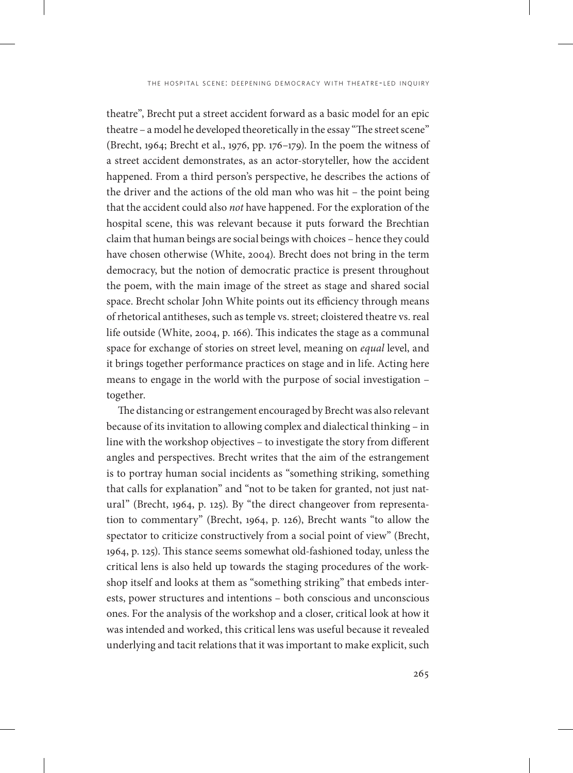theatre", Brecht put a street accident forward as a basic model for an epic theatre – a model he developed theoretically in the essay "The street scene" (Brecht, 1964; Brecht et al., 1976, pp. 176–179). In the poem the witness of a street accident demonstrates, as an actor-storyteller, how the accident happened. From a third person's perspective, he describes the actions of the driver and the actions of the old man who was hit – the point being that the accident could also *not* have happened. For the exploration of the hospital scene, this was relevant because it puts forward the Brechtian claim that human beings are social beings with choices – hence they could have chosen otherwise (White, 2004). Brecht does not bring in the term democracy, but the notion of democratic practice is present throughout the poem, with the main image of the street as stage and shared social space. Brecht scholar John White points out its efficiency through means of rhetorical antitheses, such as temple vs. street; cloistered theatre vs. real life outside (White, 2004, p. 166). This indicates the stage as a communal space for exchange of stories on street level, meaning on *equal* level, and it brings together performance practices on stage and in life. Acting here means to engage in the world with the purpose of social investigation – together.

The distancing or estrangement encouraged by Brecht was also relevant because of its invitation to allowing complex and dialectical thinking – in line with the workshop objectives – to investigate the story from different angles and perspectives. Brecht writes that the aim of the estrangement is to portray human social incidents as "something striking, something that calls for explanation" and "not to be taken for granted, not just natural" (Brecht, 1964, p. 125). By "the direct changeover from representation to commentary" (Brecht, 1964, p. 126), Brecht wants "to allow the spectator to criticize constructively from a social point of view" (Brecht, 1964, p. 125). This stance seems somewhat old-fashioned today, unless the critical lens is also held up towards the staging procedures of the workshop itself and looks at them as "something striking" that embeds interests, power structures and intentions – both conscious and unconscious ones. For the analysis of the workshop and a closer, critical look at how it was intended and worked, this critical lens was useful because it revealed underlying and tacit relations that it was important to make explicit, such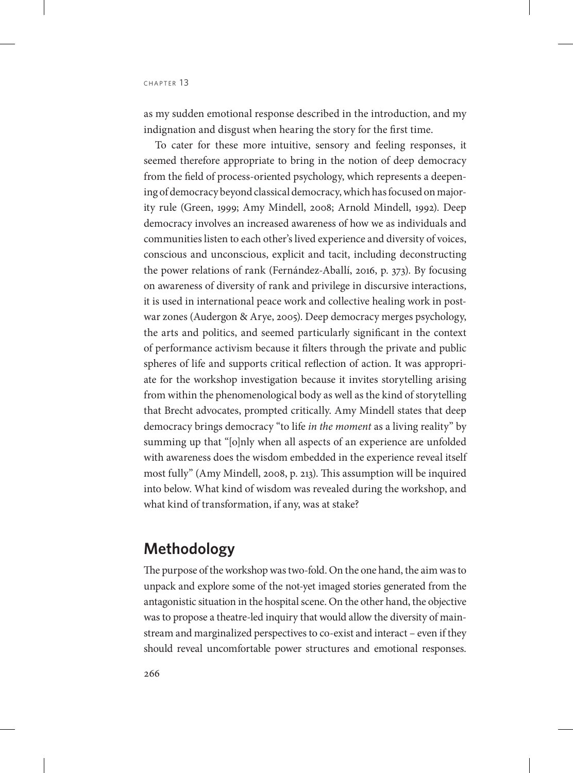as my sudden emotional response described in the introduction, and my indignation and disgust when hearing the story for the first time.

To cater for these more intuitive, sensory and feeling responses, it seemed therefore appropriate to bring in the notion of deep democracy from the field of process-oriented psychology, which represents a deepening of democracy beyond classical democracy, which has focused on majority rule (Green, 1999; Amy Mindell, 2008; Arnold Mindell, 1992). Deep democracy involves an increased awareness of how we as individuals and communities listen to each other's lived experience and diversity of voices, conscious and unconscious, explicit and tacit, including deconstructing the power relations of rank (Fernández-Aballí, 2016, p. 373). By focusing on awareness of diversity of rank and privilege in discursive interactions, it is used in international peace work and collective healing work in postwar zones (Audergon & Arye, 2005). Deep democracy merges psychology, the arts and politics, and seemed particularly significant in the context of performance activism because it filters through the private and public spheres of life and supports critical reflection of action. It was appropriate for the workshop investigation because it invites storytelling arising from within the phenomenological body as well as the kind of storytelling that Brecht advocates, prompted critically. Amy Mindell states that deep democracy brings democracy "to life *in the moment* as a living reality" by summing up that "[o]nly when all aspects of an experience are unfolded with awareness does the wisdom embedded in the experience reveal itself most fully" (Amy Mindell, 2008, p. 213). This assumption will be inquired into below. What kind of wisdom was revealed during the workshop, and what kind of transformation, if any, was at stake?

# **Methodology**

The purpose of the workshop was two-fold. On the one hand, the aim was to unpack and explore some of the not-yet imaged stories generated from the antagonistic situation in the hospital scene. On the other hand, the objective was to propose a theatre-led inquiry that would allow the diversity of mainstream and marginalized perspectives to co-exist and interact – even if they should reveal uncomfortable power structures and emotional responses.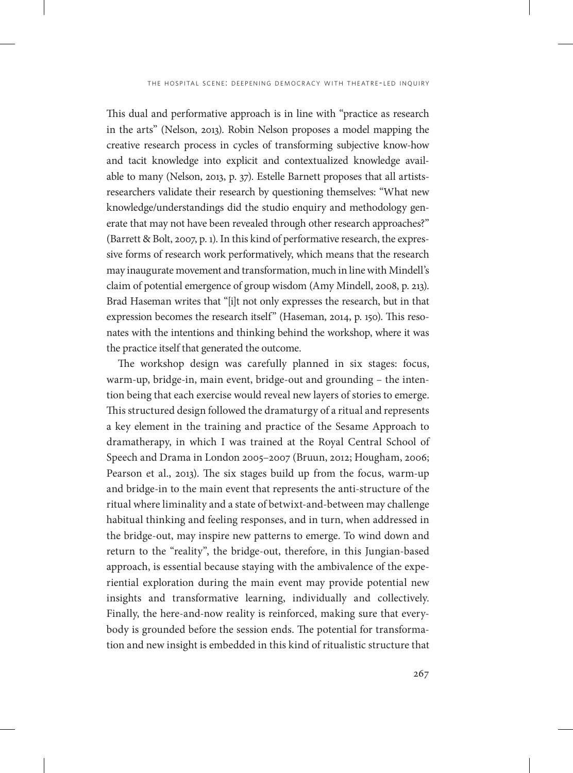This dual and performative approach is in line with "practice as research in the arts" (Nelson, 2013). Robin Nelson proposes a model mapping the creative research process in cycles of transforming subjective know-how and tacit knowledge into explicit and contextualized knowledge available to many (Nelson, 2013, p. 37). Estelle Barnett proposes that all artistsresearchers validate their research by questioning themselves: "What new knowledge/understandings did the studio enquiry and methodology generate that may not have been revealed through other research approaches?" (Barrett & Bolt, 2007, p. 1). In this kind of performative research, the expressive forms of research work performatively, which means that the research may inaugurate movement and transformation, much in line with Mindell's claim of potential emergence of group wisdom (Amy Mindell, 2008, p. 213). Brad Haseman writes that "[i]t not only expresses the research, but in that expression becomes the research itself" (Haseman, 2014, p. 150). This resonates with the intentions and thinking behind the workshop, where it was the practice itself that generated the outcome.

The workshop design was carefully planned in six stages: focus, warm-up, bridge-in, main event, bridge-out and grounding – the intention being that each exercise would reveal new layers of stories to emerge. This structured design followed the dramaturgy of a ritual and represents a key element in the training and practice of the Sesame Approach to dramatherapy, in which I was trained at the Royal Central School of Speech and Drama in London 2005–2007 (Bruun, 2012; Hougham, 2006; Pearson et al., 2013). The six stages build up from the focus, warm-up and bridge-in to the main event that represents the anti-structure of the ritual where liminality and a state of betwixt-and-between may challenge habitual thinking and feeling responses, and in turn, when addressed in the bridge-out, may inspire new patterns to emerge. To wind down and return to the "reality", the bridge-out, therefore, in this Jungian-based approach, is essential because staying with the ambivalence of the experiential exploration during the main event may provide potential new insights and transformative learning, individually and collectively. Finally, the here-and-now reality is reinforced, making sure that everybody is grounded before the session ends. The potential for transformation and new insight is embedded in this kind of ritualistic structure that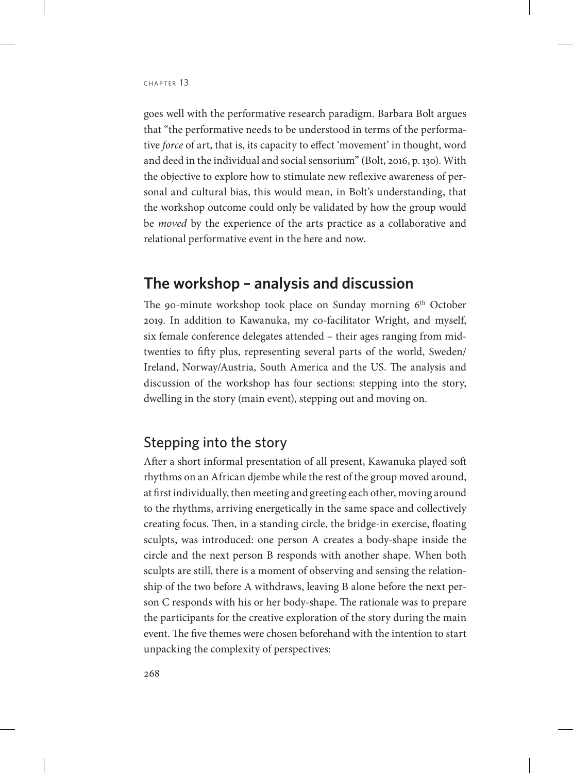goes well with the performative research paradigm. Barbara Bolt argues that "the performative needs to be understood in terms of the performative *force* of art, that is, its capacity to effect 'movement' in thought, word and deed in the individual and social sensorium" (Bolt, 2016, p. 130). With the objective to explore how to stimulate new reflexive awareness of personal and cultural bias, this would mean, in Bolt's understanding, that the workshop outcome could only be validated by how the group would be *moved* by the experience of the arts practice as a collaborative and relational performative event in the here and now.

# **The workshop – analysis and discussion**

The 90-minute workshop took place on Sunday morning  $6<sup>th</sup>$  October 2019. In addition to Kawanuka, my co-facilitator Wright, and myself, six female conference delegates attended – their ages ranging from midtwenties to fifty plus, representing several parts of the world, Sweden/ Ireland, Norway/Austria, South America and the US. The analysis and discussion of the workshop has four sections: stepping into the story, dwelling in the story (main event), stepping out and moving on.

### Stepping into the story

After a short informal presentation of all present, Kawanuka played soft rhythms on an African djembe while the rest of the group moved around, at first individually, then meeting and greeting each other, moving around to the rhythms, arriving energetically in the same space and collectively creating focus. Then, in a standing circle, the bridge-in exercise, floating sculpts, was introduced: one person A creates a body-shape inside the circle and the next person B responds with another shape. When both sculpts are still, there is a moment of observing and sensing the relationship of the two before A withdraws, leaving B alone before the next person C responds with his or her body-shape. The rationale was to prepare the participants for the creative exploration of the story during the main event. The five themes were chosen beforehand with the intention to start unpacking the complexity of perspectives: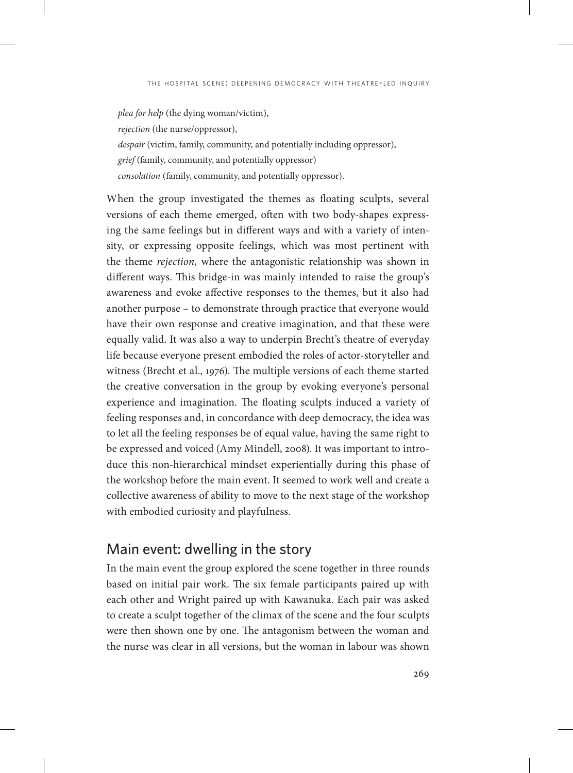*plea for help* (the dying woman/victim), *rejection* (the nurse/oppressor), *despair* (victim, family, community, and potentially including oppressor), *grief* (family, community, and potentially oppressor) *consolation* (family, community, and potentially oppressor).

When the group investigated the themes as floating sculpts, several versions of each theme emerged, often with two body-shapes expressing the same feelings but in different ways and with a variety of intensity, or expressing opposite feelings, which was most pertinent with the theme *rejection,* where the antagonistic relationship was shown in different ways. This bridge-in was mainly intended to raise the group's awareness and evoke affective responses to the themes, but it also had another purpose – to demonstrate through practice that everyone would have their own response and creative imagination, and that these were equally valid. It was also a way to underpin Brecht's theatre of everyday life because everyone present embodied the roles of actor-storyteller and witness (Brecht et al., 1976). The multiple versions of each theme started the creative conversation in the group by evoking everyone's personal experience and imagination. The floating sculpts induced a variety of feeling responses and, in concordance with deep democracy, the idea was to let all the feeling responses be of equal value, having the same right to be expressed and voiced (Amy Mindell, 2008). It was important to introduce this non-hierarchical mindset experientially during this phase of the workshop before the main event. It seemed to work well and create a collective awareness of ability to move to the next stage of the workshop with embodied curiosity and playfulness.

## Main event: dwelling in the story

In the main event the group explored the scene together in three rounds based on initial pair work. The six female participants paired up with each other and Wright paired up with Kawanuka. Each pair was asked to create a sculpt together of the climax of the scene and the four sculpts were then shown one by one. The antagonism between the woman and the nurse was clear in all versions, but the woman in labour was shown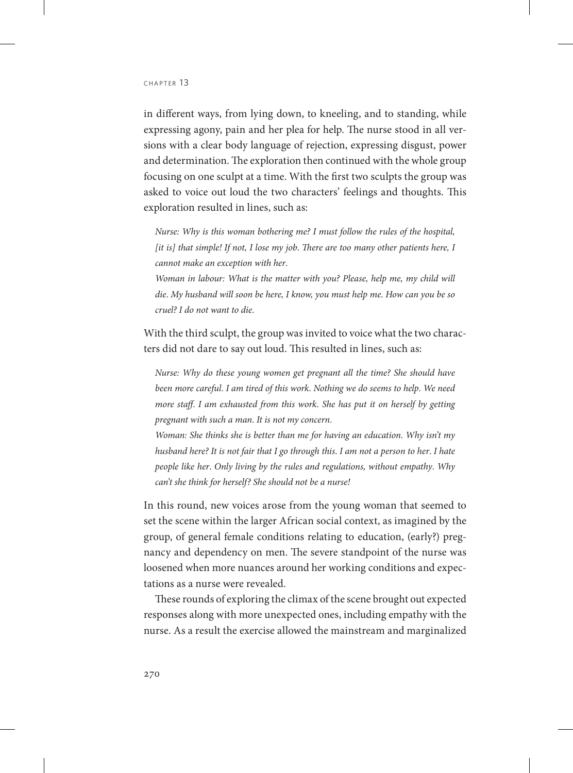in different ways, from lying down, to kneeling, and to standing, while expressing agony, pain and her plea for help. The nurse stood in all versions with a clear body language of rejection, expressing disgust, power and determination. The exploration then continued with the whole group focusing on one sculpt at a time. With the first two sculpts the group was asked to voice out loud the two characters' feelings and thoughts. This exploration resulted in lines, such as:

*Nurse: Why is this woman bothering me? I must follow the rules of the hospital, [it is] that simple! If not, I lose my job*. *There are too many other patients here, I cannot make an exception with her*.

*Woman in labour: What is the matter with you? Please, help me, my child will die*. *My husband will soon be here, I know, you must help me*. *How can you be so cruel? I do not want to die*.

With the third sculpt, the group was invited to voice what the two characters did not dare to say out loud. This resulted in lines, such as:

*Nurse: Why do these young women get pregnant all the time? She should have been more careful*. *I am tired of this work*. *Nothing we do seems to help*. *We need more staff*. *I am exhausted from this work*. *She has put it on herself by getting pregnant with such a man*. *It is not my concern*.

*Woman: She thinks she is better than me for having an education*. *Why isn't my husband here? It is not fair that I go through this*. *I am not a person to her*. *I hate people like her*. *Only living by the rules and regulations, without empathy*. *Why can't she think for herself? She should not be a nurse!*

In this round, new voices arose from the young woman that seemed to set the scene within the larger African social context, as imagined by the group, of general female conditions relating to education, (early?) pregnancy and dependency on men. The severe standpoint of the nurse was loosened when more nuances around her working conditions and expectations as a nurse were revealed.

These rounds of exploring the climax of the scene brought out expected responses along with more unexpected ones, including empathy with the nurse. As a result the exercise allowed the mainstream and marginalized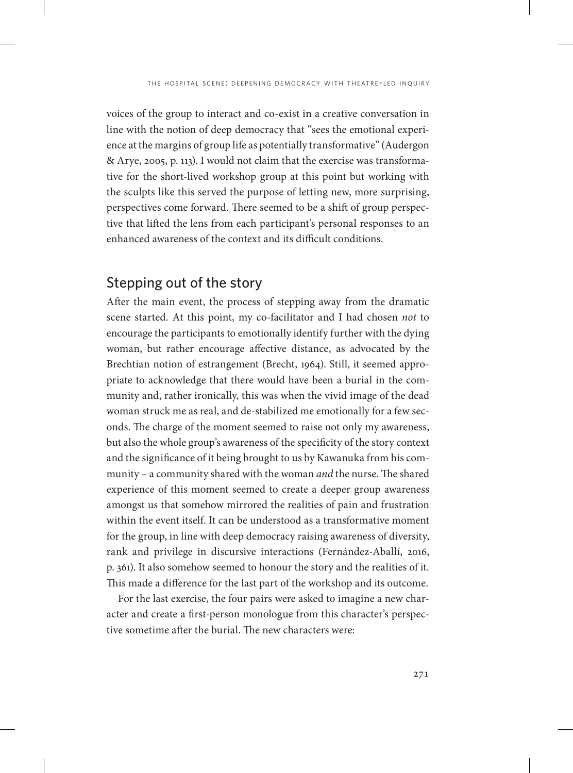voices of the group to interact and co-exist in a creative conversation in line with the notion of deep democracy that "sees the emotional experience at the margins of group life as potentially transformative" (Audergon & Arye, 2005, p. 113). I would not claim that the exercise was transformative for the short-lived workshop group at this point but working with the sculpts like this served the purpose of letting new, more surprising, perspectives come forward. There seemed to be a shift of group perspective that lifted the lens from each participant's personal responses to an enhanced awareness of the context and its difficult conditions.

### Stepping out of the story

After the main event, the process of stepping away from the dramatic scene started. At this point, my co-facilitator and I had chosen *not* to encourage the participants to emotionally identify further with the dying woman, but rather encourage affective distance, as advocated by the Brechtian notion of estrangement (Brecht, 1964). Still, it seemed appropriate to acknowledge that there would have been a burial in the community and, rather ironically, this was when the vivid image of the dead woman struck me as real, and de-stabilized me emotionally for a few seconds. The charge of the moment seemed to raise not only my awareness, but also the whole group's awareness of the specificity of the story context and the significance of it being brought to us by Kawanuka from his community – a community shared with the woman *and* the nurse. The shared experience of this moment seemed to create a deeper group awareness amongst us that somehow mirrored the realities of pain and frustration within the event itself. It can be understood as a transformative moment for the group, in line with deep democracy raising awareness of diversity, rank and privilege in discursive interactions (Fernández-Aballí, 2016, p. 361). It also somehow seemed to honour the story and the realities of it. This made a difference for the last part of the workshop and its outcome.

For the last exercise, the four pairs were asked to imagine a new character and create a first-person monologue from this character's perspective sometime after the burial. The new characters were: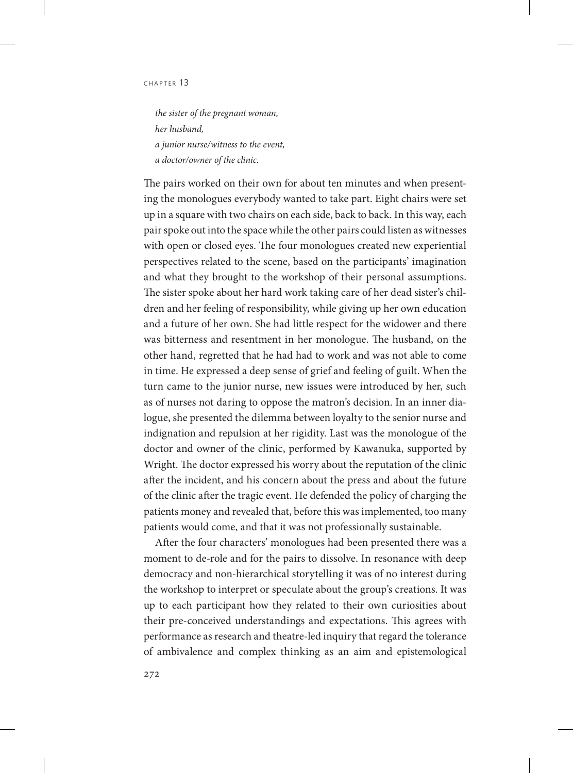*the sister of the pregnant woman, her husband, a junior nurse/witness to the event, a doctor/owner of the clinic*.

The pairs worked on their own for about ten minutes and when presenting the monologues everybody wanted to take part. Eight chairs were set up in a square with two chairs on each side, back to back. In this way, each pair spoke out into the space while the other pairs could listen as witnesses with open or closed eyes. The four monologues created new experiential perspectives related to the scene, based on the participants' imagination and what they brought to the workshop of their personal assumptions. The sister spoke about her hard work taking care of her dead sister's children and her feeling of responsibility, while giving up her own education and a future of her own. She had little respect for the widower and there was bitterness and resentment in her monologue. The husband, on the other hand, regretted that he had had to work and was not able to come in time. He expressed a deep sense of grief and feeling of guilt. When the turn came to the junior nurse, new issues were introduced by her, such as of nurses not daring to oppose the matron's decision. In an inner dialogue, she presented the dilemma between loyalty to the senior nurse and indignation and repulsion at her rigidity. Last was the monologue of the doctor and owner of the clinic, performed by Kawanuka, supported by Wright. The doctor expressed his worry about the reputation of the clinic after the incident, and his concern about the press and about the future of the clinic after the tragic event. He defended the policy of charging the patients money and revealed that, before this was implemented, too many patients would come, and that it was not professionally sustainable.

After the four characters' monologues had been presented there was a moment to de-role and for the pairs to dissolve. In resonance with deep democracy and non-hierarchical storytelling it was of no interest during the workshop to interpret or speculate about the group's creations. It was up to each participant how they related to their own curiosities about their pre-conceived understandings and expectations. This agrees with performance as research and theatre-led inquiry that regard the tolerance of ambivalence and complex thinking as an aim and epistemological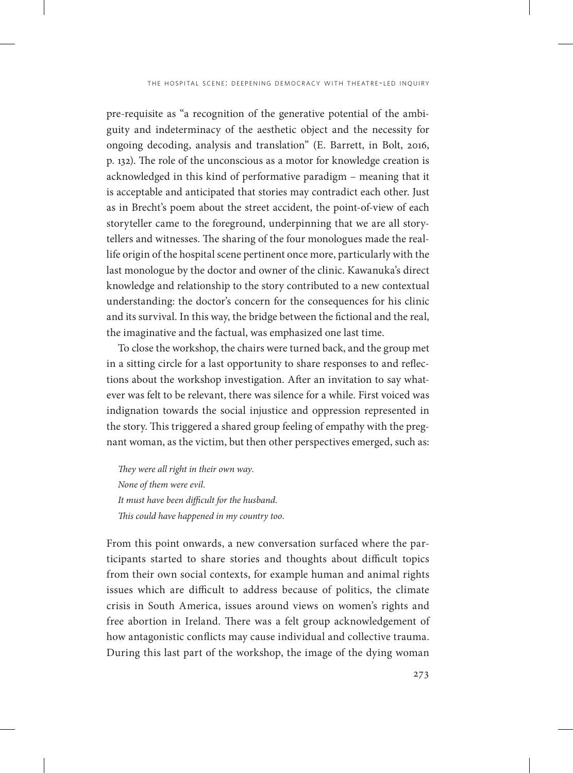pre-requisite as "a recognition of the generative potential of the ambiguity and indeterminacy of the aesthetic object and the necessity for ongoing decoding, analysis and translation" (E. Barrett, in Bolt, 2016, p. 132). The role of the unconscious as a motor for knowledge creation is acknowledged in this kind of performative paradigm – meaning that it is acceptable and anticipated that stories may contradict each other. Just as in Brecht's poem about the street accident, the point-of-view of each storyteller came to the foreground, underpinning that we are all storytellers and witnesses. The sharing of the four monologues made the reallife origin of the hospital scene pertinent once more, particularly with the last monologue by the doctor and owner of the clinic. Kawanuka's direct knowledge and relationship to the story contributed to a new contextual understanding: the doctor's concern for the consequences for his clinic and its survival. In this way, the bridge between the fictional and the real, the imaginative and the factual, was emphasized one last time.

To close the workshop, the chairs were turned back, and the group met in a sitting circle for a last opportunity to share responses to and reflections about the workshop investigation. After an invitation to say whatever was felt to be relevant, there was silence for a while. First voiced was indignation towards the social injustice and oppression represented in the story. This triggered a shared group feeling of empathy with the pregnant woman, as the victim, but then other perspectives emerged, such as:

*They were all right in their own way*. *None of them were evil*. *It must have been difficult for the husband*. *This could have happened in my country too*.

From this point onwards, a new conversation surfaced where the participants started to share stories and thoughts about difficult topics from their own social contexts, for example human and animal rights issues which are difficult to address because of politics, the climate crisis in South America, issues around views on women's rights and free abortion in Ireland. There was a felt group acknowledgement of how antagonistic conflicts may cause individual and collective trauma. During this last part of the workshop, the image of the dying woman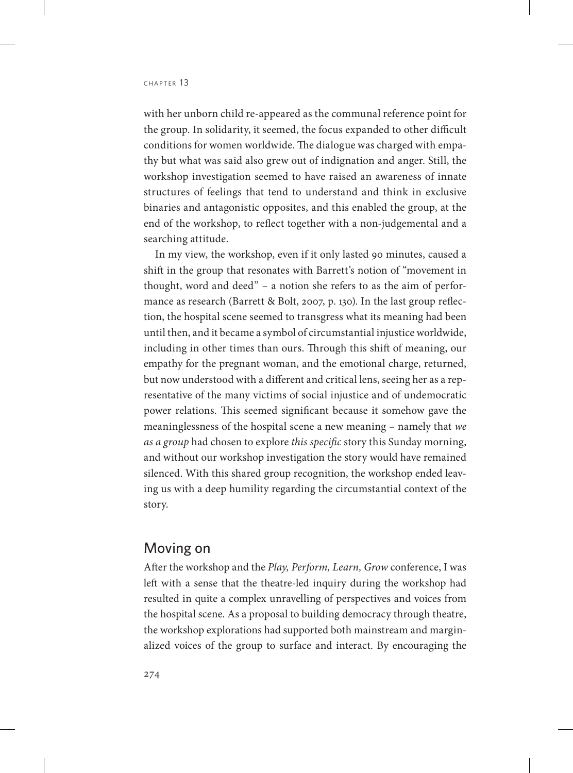with her unborn child re-appeared as the communal reference point for the group. In solidarity, it seemed, the focus expanded to other difficult conditions for women worldwide. The dialogue was charged with empathy but what was said also grew out of indignation and anger. Still, the workshop investigation seemed to have raised an awareness of innate structures of feelings that tend to understand and think in exclusive binaries and antagonistic opposites, and this enabled the group, at the end of the workshop, to reflect together with a non-judgemental and a searching attitude.

In my view, the workshop, even if it only lasted 90 minutes, caused a shift in the group that resonates with Barrett's notion of "movement in thought, word and deed" – a notion she refers to as the aim of performance as research (Barrett & Bolt, 2007, p. 130). In the last group reflection, the hospital scene seemed to transgress what its meaning had been until then, and it became a symbol of circumstantial injustice worldwide, including in other times than ours. Through this shift of meaning, our empathy for the pregnant woman, and the emotional charge, returned, but now understood with a different and critical lens, seeing her as a representative of the many victims of social injustice and of undemocratic power relations. This seemed significant because it somehow gave the meaninglessness of the hospital scene a new meaning – namely that *we as a group* had chosen to explore *this specific* story this Sunday morning, and without our workshop investigation the story would have remained silenced. With this shared group recognition, the workshop ended leaving us with a deep humility regarding the circumstantial context of the story.

### Moving on

After the workshop and the *Play, Perform, Learn, Grow* conference, I was left with a sense that the theatre-led inquiry during the workshop had resulted in quite a complex unravelling of perspectives and voices from the hospital scene. As a proposal to building democracy through theatre, the workshop explorations had supported both mainstream and marginalized voices of the group to surface and interact. By encouraging the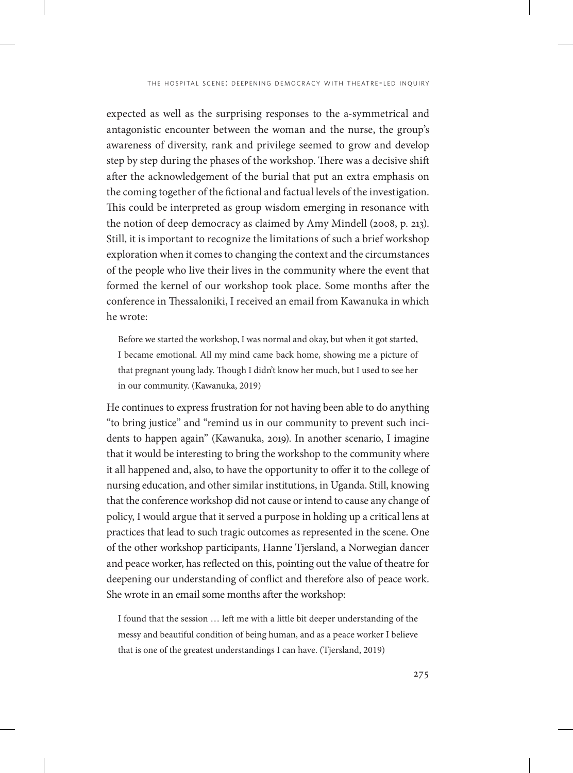expected as well as the surprising responses to the a-symmetrical and antagonistic encounter between the woman and the nurse, the group's awareness of diversity, rank and privilege seemed to grow and develop step by step during the phases of the workshop. There was a decisive shift after the acknowledgement of the burial that put an extra emphasis on the coming together of the fictional and factual levels of the investigation. This could be interpreted as group wisdom emerging in resonance with the notion of deep democracy as claimed by Amy Mindell (2008, p. 213). Still, it is important to recognize the limitations of such a brief workshop exploration when it comes to changing the context and the circumstances of the people who live their lives in the community where the event that formed the kernel of our workshop took place. Some months after the conference in Thessaloniki, I received an email from Kawanuka in which he wrote:

Before we started the workshop, I was normal and okay, but when it got started, I became emotional. All my mind came back home, showing me a picture of that pregnant young lady. Though I didn't know her much, but I used to see her in our community. (Kawanuka, 2019)

He continues to express frustration for not having been able to do anything "to bring justice" and "remind us in our community to prevent such incidents to happen again" (Kawanuka, 2019). In another scenario, I imagine that it would be interesting to bring the workshop to the community where it all happened and, also, to have the opportunity to offer it to the college of nursing education, and other similar institutions, in Uganda. Still, knowing that the conference workshop did not cause or intend to cause any change of policy, I would argue that it served a purpose in holding up a critical lens at practices that lead to such tragic outcomes as represented in the scene. One of the other workshop participants, Hanne Tjersland, a Norwegian dancer and peace worker, has reflected on this, pointing out the value of theatre for deepening our understanding of conflict and therefore also of peace work. She wrote in an email some months after the workshop:

I found that the session … left me with a little bit deeper understanding of the messy and beautiful condition of being human, and as a peace worker I believe that is one of the greatest understandings I can have. (Tjersland, 2019)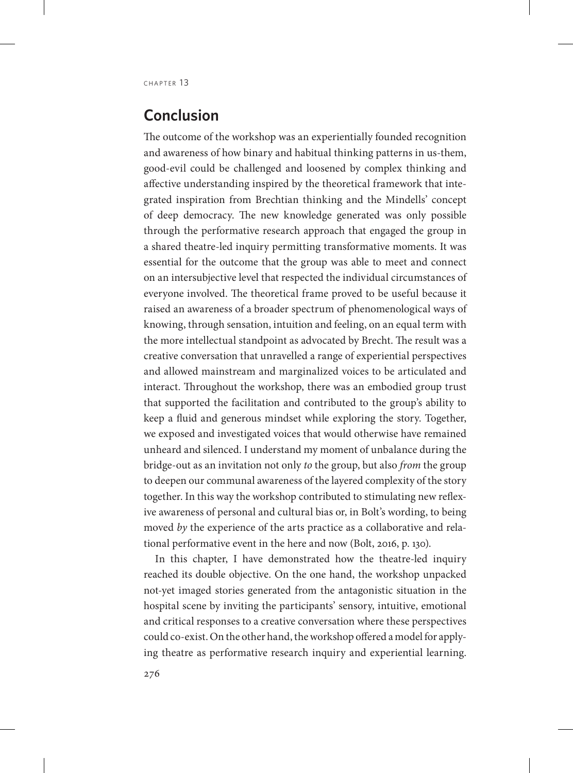# **Conclusion**

The outcome of the workshop was an experientially founded recognition and awareness of how binary and habitual thinking patterns in us-them, good-evil could be challenged and loosened by complex thinking and affective understanding inspired by the theoretical framework that integrated inspiration from Brechtian thinking and the Mindells' concept of deep democracy. The new knowledge generated was only possible through the performative research approach that engaged the group in a shared theatre-led inquiry permitting transformative moments. It was essential for the outcome that the group was able to meet and connect on an intersubjective level that respected the individual circumstances of everyone involved. The theoretical frame proved to be useful because it raised an awareness of a broader spectrum of phenomenological ways of knowing, through sensation, intuition and feeling, on an equal term with the more intellectual standpoint as advocated by Brecht. The result was a creative conversation that unravelled a range of experiential perspectives and allowed mainstream and marginalized voices to be articulated and interact. Throughout the workshop, there was an embodied group trust that supported the facilitation and contributed to the group's ability to keep a fluid and generous mindset while exploring the story. Together, we exposed and investigated voices that would otherwise have remained unheard and silenced. I understand my moment of unbalance during the bridge-out as an invitation not only *to* the group, but also *from* the group to deepen our communal awareness of the layered complexity of the story together. In this way the workshop contributed to stimulating new reflexive awareness of personal and cultural bias or, in Bolt's wording, to being moved *by* the experience of the arts practice as a collaborative and relational performative event in the here and now (Bolt, 2016, p. 130).

In this chapter, I have demonstrated how the theatre-led inquiry reached its double objective. On the one hand, the workshop unpacked not-yet imaged stories generated from the antagonistic situation in the hospital scene by inviting the participants' sensory, intuitive, emotional and critical responses to a creative conversation where these perspectives could co-exist. On the other hand, the workshop offered a model for applying theatre as performative research inquiry and experiential learning.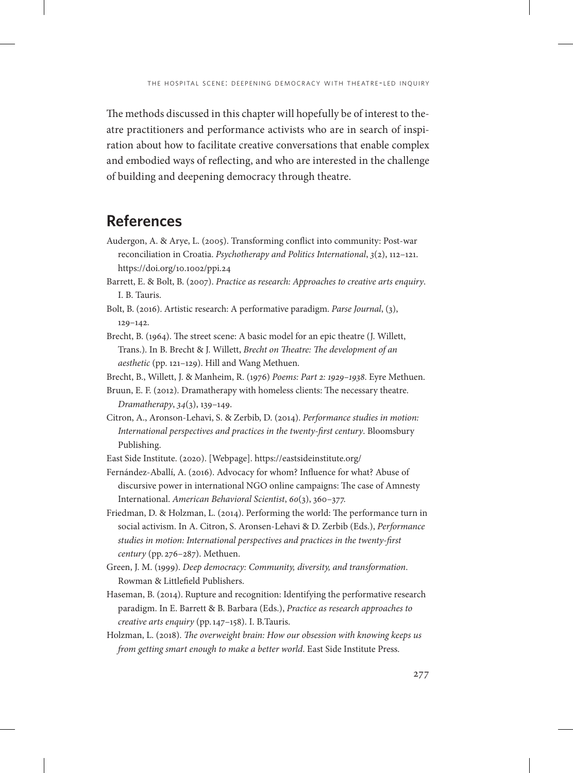The methods discussed in this chapter will hopefully be of interest to theatre practitioners and performance activists who are in search of inspiration about how to facilitate creative conversations that enable complex and embodied ways of reflecting, and who are interested in the challenge of building and deepening democracy through theatre.

# **References**

- Audergon, A. & Arye, L. (2005). Transforming conflict into community: Post-war reconciliation in Croatia. *Psychotherapy and Politics International*, *3*(2), 112–121. https://doi.org/10.1002/ppi.24
- Barrett, E. & Bolt, B. (2007). *Practice as research: Approaches to creative arts enquiry*. I. B. Tauris.
- Bolt, B. (2016). Artistic research: A performative paradigm. *Parse Journal*, (3), 129–142.
- Brecht, B. (1964). The street scene: A basic model for an epic theatre (J. Willett, Trans.). In B. Brecht & J. Willett, *Brecht on Theatre: The development of an aesthetic* (pp. 121–129). Hill and Wang Methuen.
- Brecht, B., Willett, J. & Manheim, R. (1976) *Poems: Part 2: 1929–1938*. Eyre Methuen.
- Bruun, E. F. (2012). Dramatherapy with homeless clients: The necessary theatre. *Dramatherapy*, *34*(3), 139–149.
- Citron, A., Aronson-Lehavi, S. & Zerbib, D. (2014). *Performance studies in motion: International perspectives and practices in the twenty-first century*. Bloomsbury Publishing.

East Side Institute. (2020). [Webpage]. https://eastsideinstitute.org/

- Fernández-Aballí, A. (2016). Advocacy for whom? Influence for what? Abuse of discursive power in international NGO online campaigns: The case of Amnesty International. *American Behavioral Scientist*, *60*(3), 360–377.
- Friedman, D. & Holzman, L. (2014). Performing the world: The performance turn in social activism. In A. Citron, S. Aronsen-Lehavi & D. Zerbib (Eds.), *Performance studies in motion: International perspectives and practices in the twenty-first century* (pp. 276–287). Methuen.
- Green, J. M. (1999). *Deep democracy: Community, diversity, and transformation*. Rowman & Littlefield Publishers.
- Haseman, B. (2014). Rupture and recognition: Identifying the performative research paradigm. In E. Barrett & B. Barbara (Eds.), *Practice as research approaches to creative arts enquiry* (pp.147–158). I. B.Tauris.
- Holzman, L. (2018). *The overweight brain: How our obsession with knowing keeps us from getting smart enough to make a better world*. East Side Institute Press.